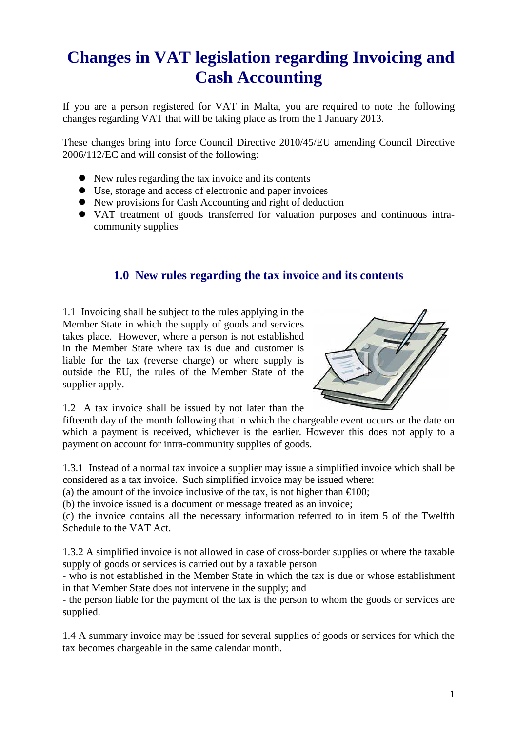# **Changes in VAT legislation regarding Invoicing and Cash Accounting**

If you are a person registered for VAT in Malta, you are required to note the following changes regarding VAT that will be taking place as from the 1 January 2013.

These changes bring into force Council Directive 2010/45/EU amending Council Directive 2006/112/EC and will consist of the following:

- New rules regarding the tax invoice and its contents
- Use, storage and access of electronic and paper invoices
- New provisions for Cash Accounting and right of deduction
- VAT treatment of goods transferred for valuation purposes and continuous intracommunity supplies

# **1.0 New rules regarding the tax invoice and its contents**

1.1 Invoicing shall be subject to the rules applying in the Member State in which the supply of goods and services takes place. However, where a person is not established in the Member State where tax is due and customer is liable for the tax (reverse charge) or where supply is outside the EU, the rules of the Member State of the supplier apply.



1.2 A tax invoice shall be issued by not later than the

fifteenth day of the month following that in which the chargeable event occurs or the date on which a payment is received, whichever is the earlier. However this does not apply to a payment on account for intra-community supplies of goods.

1.3.1 Instead of a normal tax invoice a supplier may issue a simplified invoice which shall be considered as a tax invoice. Such simplified invoice may be issued where:

(a) the amount of the invoice inclusive of the tax, is not higher than  $\epsilon 100$ ;

(b) the invoice issued is a document or message treated as an invoice;

(c) the invoice contains all the necessary information referred to in item 5 of the Twelfth Schedule to the VAT Act.

1.3.2 A simplified invoice is not allowed in case of cross-border supplies or where the taxable supply of goods or services is carried out by a taxable person

- who is not established in the Member State in which the tax is due or whose establishment in that Member State does not intervene in the supply; and

- the person liable for the payment of the tax is the person to whom the goods or services are supplied.

1.4 A summary invoice may be issued for several supplies of goods or services for which the tax becomes chargeable in the same calendar month.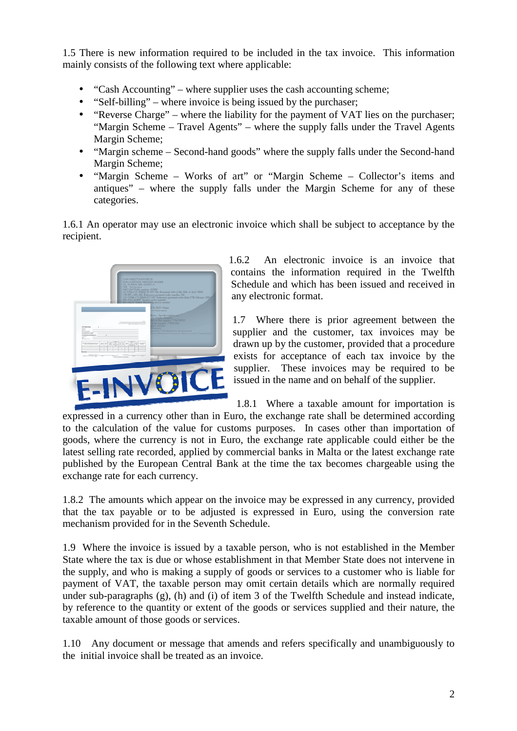1.5 There is new information required to be included in the tax invoice. This information mainly consists of the following text where applicable:

- "Cash Accounting" where supplier uses the cash accounting scheme;
- "Self-billing" where invoice is being issued by the purchaser:
- "Reverse Charge" where the liability for the payment of VAT lies on the purchaser; "Margin Scheme – Travel Agents" – where the supply falls under the Travel Agents Margin Scheme;
- "Margin scheme Second-hand goods" where the supply falls under the Second-hand Margin Scheme;
- "Margin Scheme Works of art" or "Margin Scheme Collector's items and antiques" – where the supply falls under the Margin Scheme for any of these categories.

1.6.1 An operator may use an electronic invoice which shall be subject to acceptance by the recipient.



1.6.2 An electronic invoice is an invoice that contains the information required in the Twelfth Schedule and which has been issued and received in any electronic format.

1.7 Where there is prior agreement between the supplier and the customer, tax invoices may be drawn up by the customer, provided that a procedure exists for acceptance of each tax invoice by the supplier. These invoices may be required to be issued in the name and on behalf of the supplier.

1.8.1 Where a taxable amount for importation is

expressed in a currency other than in Euro, the exchange rate shall be determined according to the calculation of the value for customs purposes. In cases other than importation of goods, where the currency is not in Euro, the exchange rate applicable could either be the latest selling rate recorded, applied by commercial banks in Malta or the latest exchange rate published by the European Central Bank at the time the tax becomes chargeable using the exchange rate for each currency.

1.8.2 The amounts which appear on the invoice may be expressed in any currency, provided that the tax payable or to be adjusted is expressed in Euro, using the conversion rate mechanism provided for in the Seventh Schedule.

1.9 Where the invoice is issued by a taxable person, who is not established in the Member State where the tax is due or whose establishment in that Member State does not intervene in the supply, and who is making a supply of goods or services to a customer who is liable for payment of VAT, the taxable person may omit certain details which are normally required under sub-paragraphs (g), (h) and (i) of item 3 of the Twelfth Schedule and instead indicate, by reference to the quantity or extent of the goods or services supplied and their nature, the taxable amount of those goods or services.

1.10 Any document or message that amends and refers specifically and unambiguously to the initial invoice shall be treated as an invoice.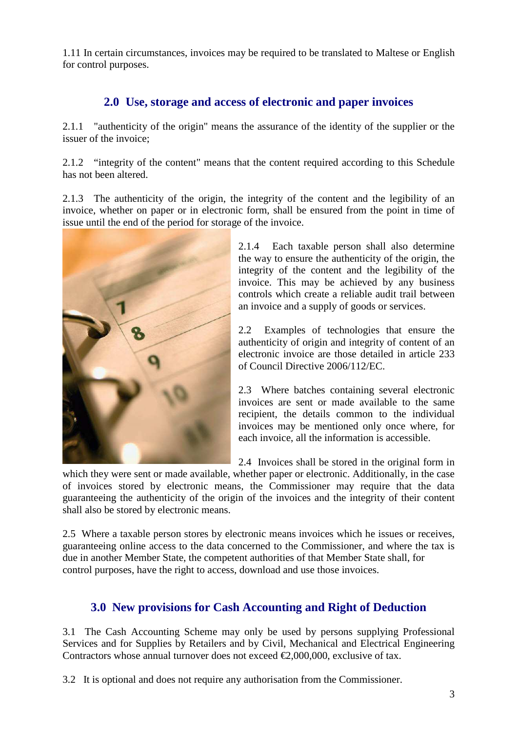1.11 In certain circumstances, invoices may be required to be translated to Maltese or English for control purposes.

# **2.0 Use, storage and access of electronic and paper invoices**

2.1.1 "authenticity of the origin" means the assurance of the identity of the supplier or the issuer of the invoice;

2.1.2 "integrity of the content" means that the content required according to this Schedule has not been altered.

2.1.3 The authenticity of the origin, the integrity of the content and the legibility of an invoice, whether on paper or in electronic form, shall be ensured from the point in time of issue until the end of the period for storage of the invoice.



2.1.4 Each taxable person shall also determine the way to ensure the authenticity of the origin, the integrity of the content and the legibility of the invoice. This may be achieved by any business controls which create a reliable audit trail between an invoice and a supply of goods or services.

2.2 Examples of technologies that ensure the authenticity of origin and integrity of content of an electronic invoice are those detailed in article 233 of Council Directive 2006/112/EC.

2.3 Where batches containing several electronic invoices are sent or made available to the same recipient, the details common to the individual invoices may be mentioned only once where, for each invoice, all the information is accessible.

2.4 Invoices shall be stored in the original form in

which they were sent or made available, whether paper or electronic. Additionally, in the case of invoices stored by electronic means, the Commissioner may require that the data guaranteeing the authenticity of the origin of the invoices and the integrity of their content shall also be stored by electronic means.

2.5 Where a taxable person stores by electronic means invoices which he issues or receives, guaranteeing online access to the data concerned to the Commissioner, and where the tax is due in another Member State, the competent authorities of that Member State shall, for control purposes, have the right to access, download and use those invoices.

### **3.0 New provisions for Cash Accounting and Right of Deduction**

3.1 The Cash Accounting Scheme may only be used by persons supplying Professional Services and for Supplies by Retailers and by Civil, Mechanical and Electrical Engineering Contractors whose annual turnover does not exceed  $\epsilon 2,000,000$ , exclusive of tax.

3.2 It is optional and does not require any authorisation from the Commissioner.